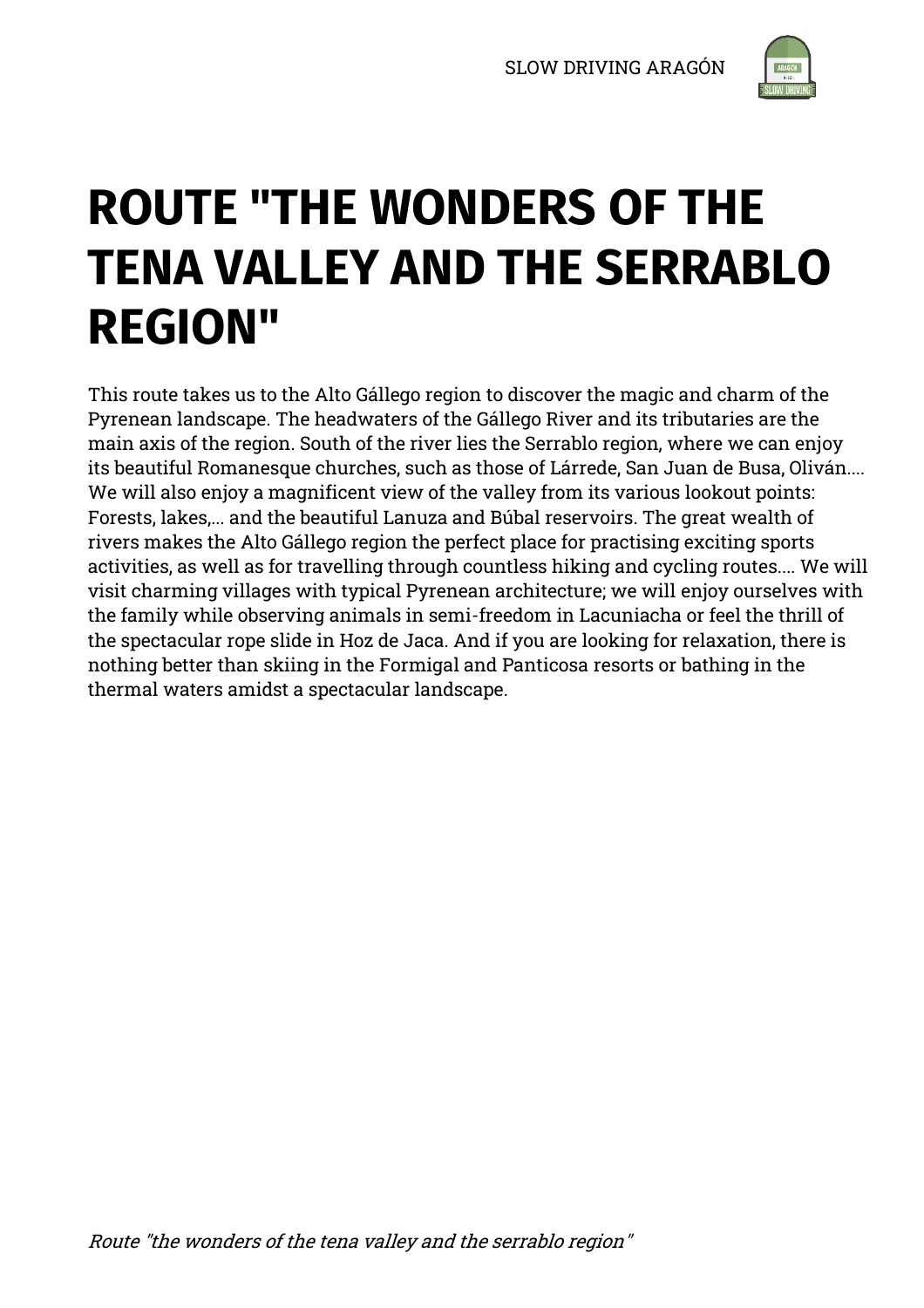

# **ROUTE "THE WONDERS OF THE TENA VALLEY AND THE SERRABLO REGION"**

This route takes us to the Alto Gállego region to discover the magic and charm of the Pyrenean landscape. The headwaters of the Gállego River and its tributaries are the main axis of the region. South of the river lies the Serrablo region, where we can enjoy its beautiful Romanesque churches, such as those of Lárrede, San Juan de Busa, Oliván.... We will also enjoy a magnificent view of the valley from its various lookout points: Forests, lakes,... and the beautiful Lanuza and Búbal reservoirs. The great wealth of rivers makes the Alto Gállego region the perfect place for practising exciting sports activities, as well as for travelling through countless hiking and cycling routes.... We will visit charming villages with typical Pyrenean architecture; we will enjoy ourselves with the family while observing animals in semi-freedom in Lacuniacha or feel the thrill of the spectacular rope slide in Hoz de Jaca. And if you are looking for relaxation, there is nothing better than skiing in the Formigal and Panticosa resorts or bathing in the thermal waters amidst a spectacular landscape.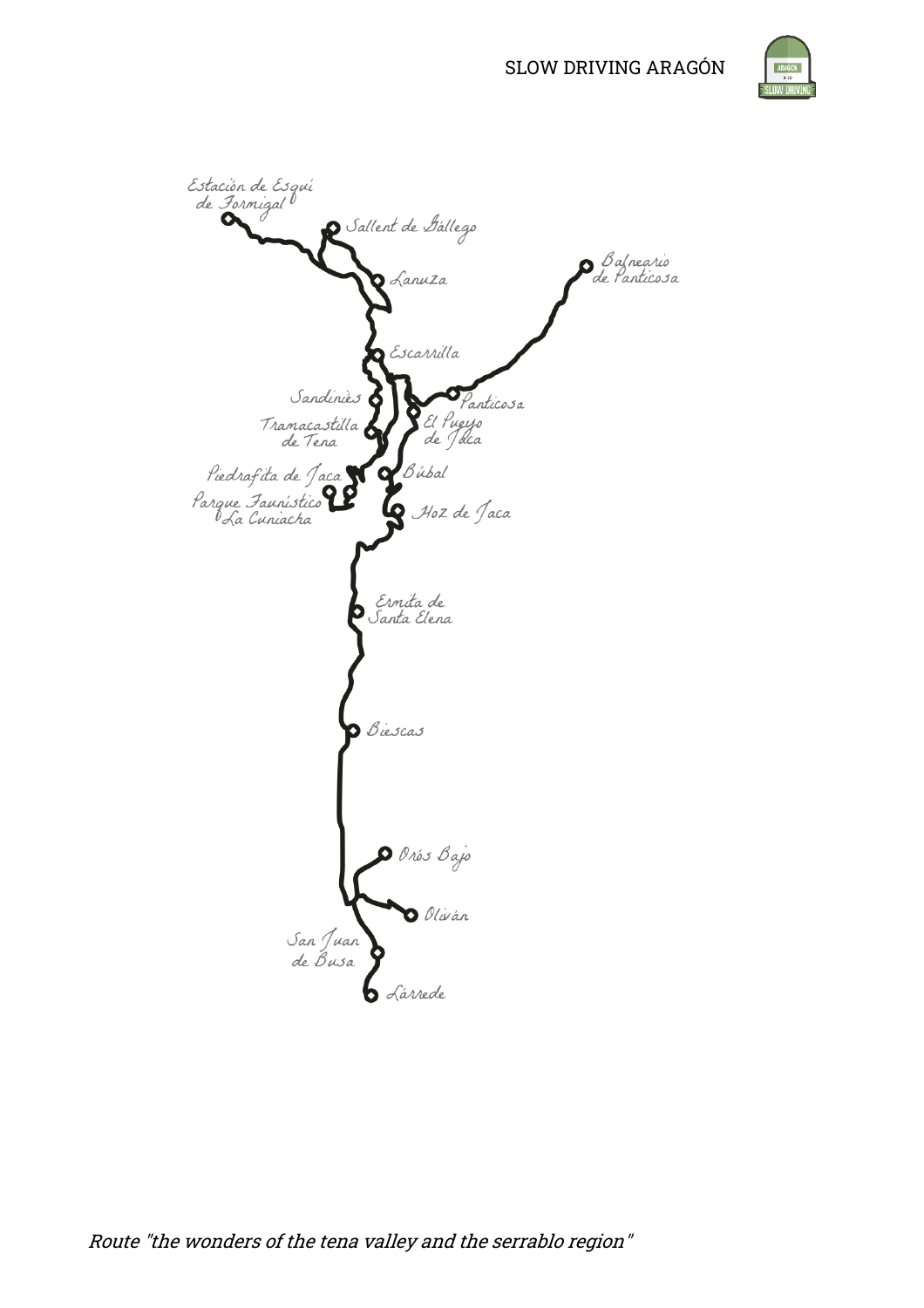



Route "the wonders of the tena valley and the serrablo region"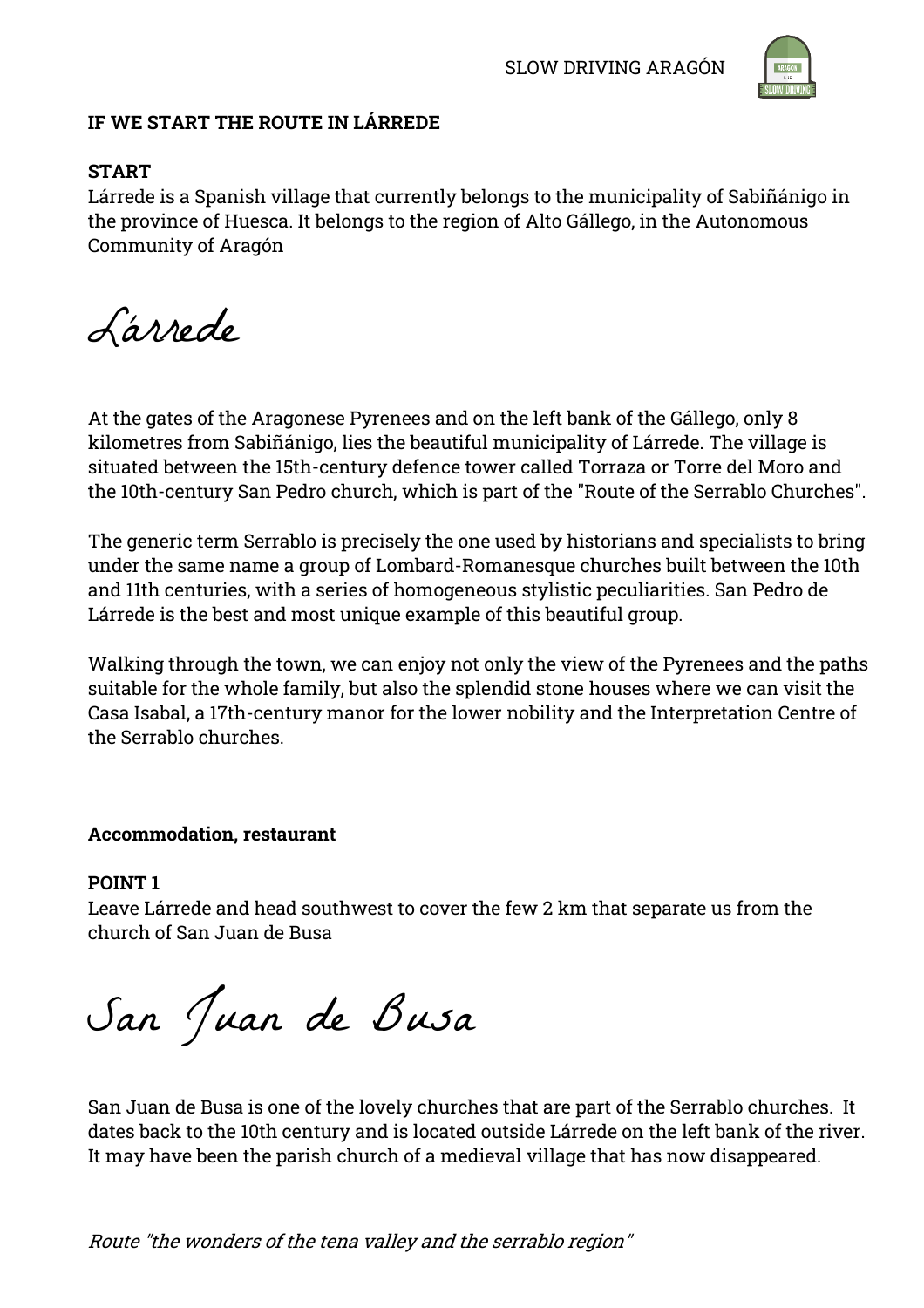

### **IF WE START THE ROUTE IN LÁRREDE**

# **START**

Lárrede is a Spanish village that currently belongs to the municipality of Sabiñánigo in the province of Huesca. It belongs to the region of Alto Gállego, in the Autonomous Community of Aragón

Lárrede

At the gates of the Aragonese Pyrenees and on the left bank of the Gállego, only 8 kilometres from Sabiñánigo, lies the beautiful municipality of Lárrede. The village is situated between the 15th-century defence tower called Torraza or Torre del Moro and the 10th-century San Pedro church, which is part of the "Route of the Serrablo Churches".

The generic term Serrablo is precisely the one used by historians and specialists to bring under the same name a group of Lombard-Romanesque churches built between the 10th and 11th centuries, with a series of homogeneous stylistic peculiarities. San Pedro de Lárrede is the best and most unique example of this beautiful group.

Walking through the town, we can enjoy not only the view of the Pyrenees and the paths suitable for the whole family, but also the splendid stone houses where we can visit the Casa Isabal, a 17th-century manor for the lower nobility and the Interpretation Centre of the Serrablo churches.

#### **Accommodation, restaurant**

#### **POINT 1**

Leave Lárrede and head southwest to cover the few 2 km that separate us from the church of San Juan de Busa

San Juan de Busa

San Juan de Busa is one of the lovely churches that are part of the Serrablo churches. It dates back to the 10th century and is located outside Lárrede on the left bank of the river. It may have been the parish church of a medieval village that has now disappeared.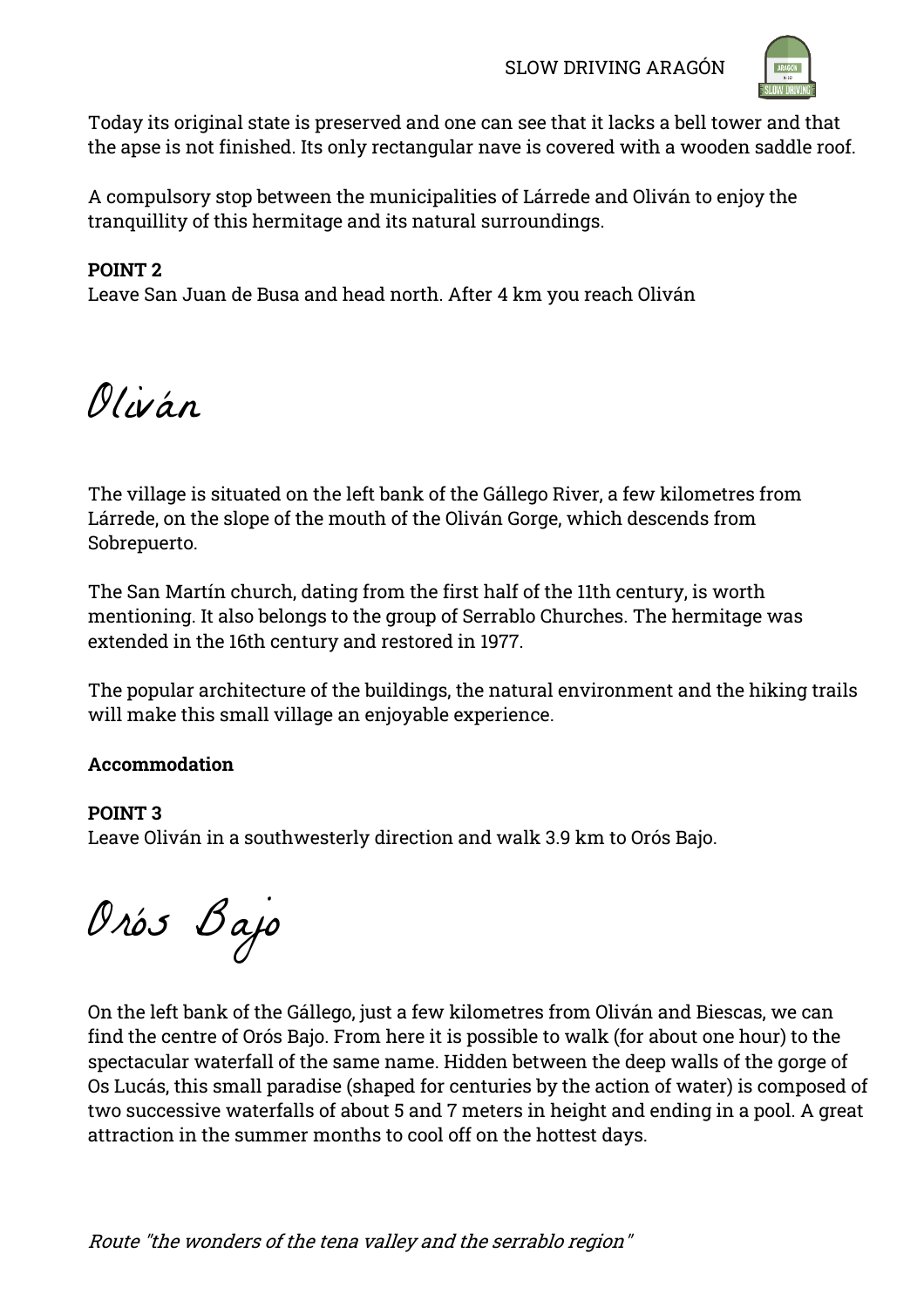

Today its original state is preserved and one can see that it lacks a bell tower and that the apse is not finished. Its only rectangular nave is covered with a wooden saddle roof.

A compulsory stop between the municipalities of Lárrede and Oliván to enjoy the tranquillity of this hermitage and its natural surroundings.

# **POINT 2**

Leave San Juan de Busa and head north. After 4 km you reach Oliván

Oliván

The village is situated on the left bank of the Gállego River, a few kilometres from Lárrede, on the slope of the mouth of the Oliván Gorge, which descends from Sobrepuerto.

The San Martín church, dating from the first half of the 11th century, is worth mentioning. It also belongs to the group of Serrablo Churches. The hermitage was extended in the 16th century and restored in 1977.

The popular architecture of the buildings, the natural environment and the hiking trails will make this small village an enjoyable experience.

# **Accommodation**

# **POINT 3**

Leave Oliván in a southwesterly direction and walk 3.9 km to Orós Bajo.

Orós Bajo

On the left bank of the Gállego, just a few kilometres from Oliván and Biescas, we can find the centre of Orós Bajo. From here it is possible to walk (for about one hour) to the spectacular waterfall of the same name. Hidden between the deep walls of the gorge of Os Lucás, this small paradise (shaped for centuries by the action of water) is composed of two successive waterfalls of about 5 and 7 meters in height and ending in a pool. A great attraction in the summer months to cool off on the hottest days.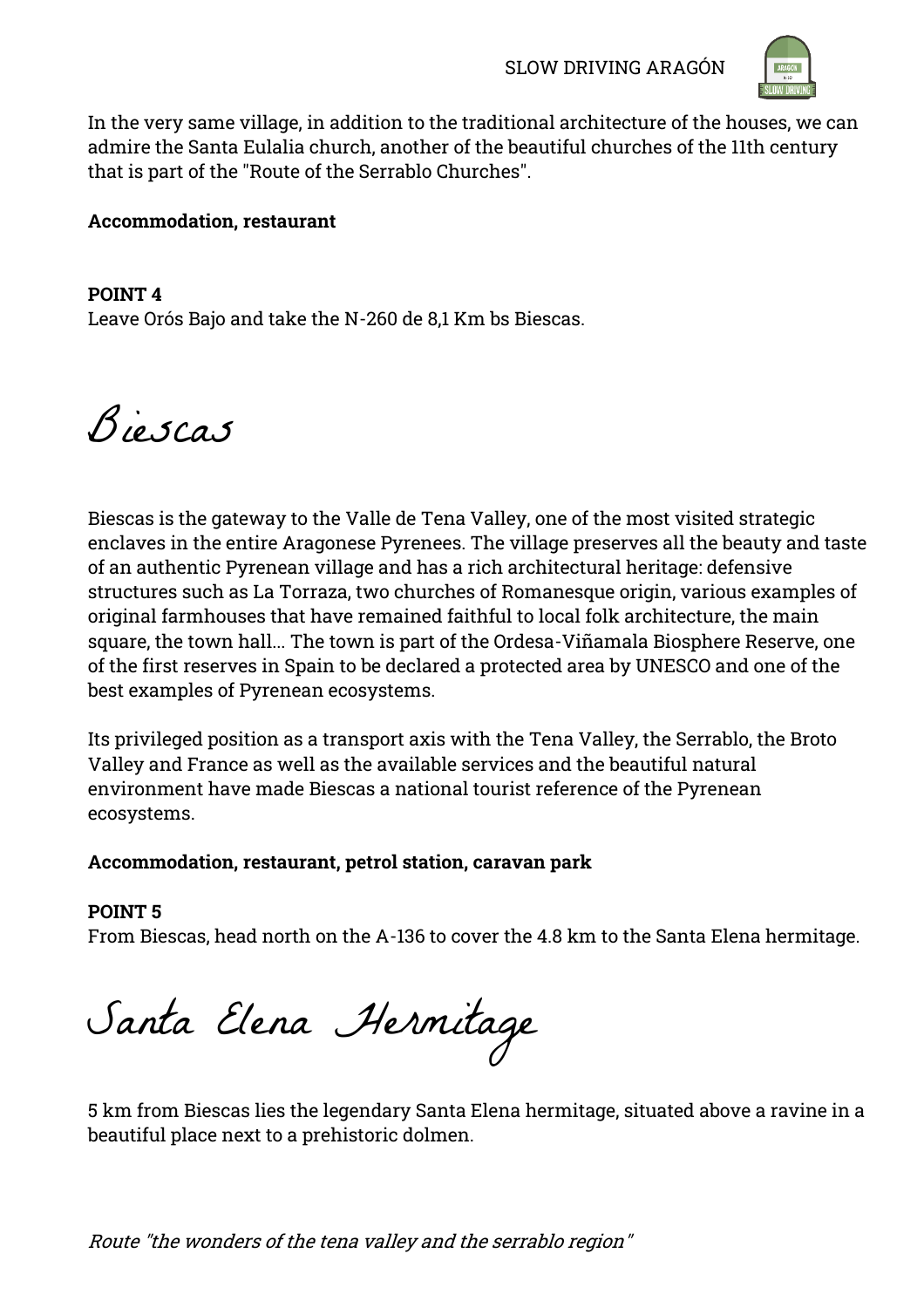

In the very same village, in addition to the traditional architecture of the houses, we can admire the Santa Eulalia church, another of the beautiful churches of the 11th century that is part of the "Route of the Serrablo Churches".

### **Accommodation, restaurant**

**POINT 4** Leave Orós Bajo and take the N-260 de 8,1 Km bs Biescas.

Biescas

Biescas is the gateway to the Valle de Tena Valley, one of the most visited strategic enclaves in the entire Aragonese Pyrenees. The village preserves all the beauty and taste of an authentic Pyrenean village and has a rich architectural heritage: defensive structures such as La Torraza, two churches of Romanesque origin, various examples of original farmhouses that have remained faithful to local folk architecture, the main square, the town hall... The town is part of the Ordesa-Viñamala Biosphere Reserve, one of the first reserves in Spain to be declared a protected area by UNESCO and one of the best examples of Pyrenean ecosystems.

Its privileged position as a transport axis with the Tena Valley, the Serrablo, the Broto Valley and France as well as the available services and the beautiful natural environment have made Biescas a national tourist reference of the Pyrenean ecosystems.

#### **Accommodation, restaurant, petrol station, caravan park**

#### **POINT 5**

From Biescas, head north on the A-136 to cover the 4.8 km to the Santa Elena hermitage.

Santa Elena Hermitage

5 km from Biescas lies the legendary Santa Elena hermitage, situated above a ravine in a beautiful place next to a prehistoric dolmen.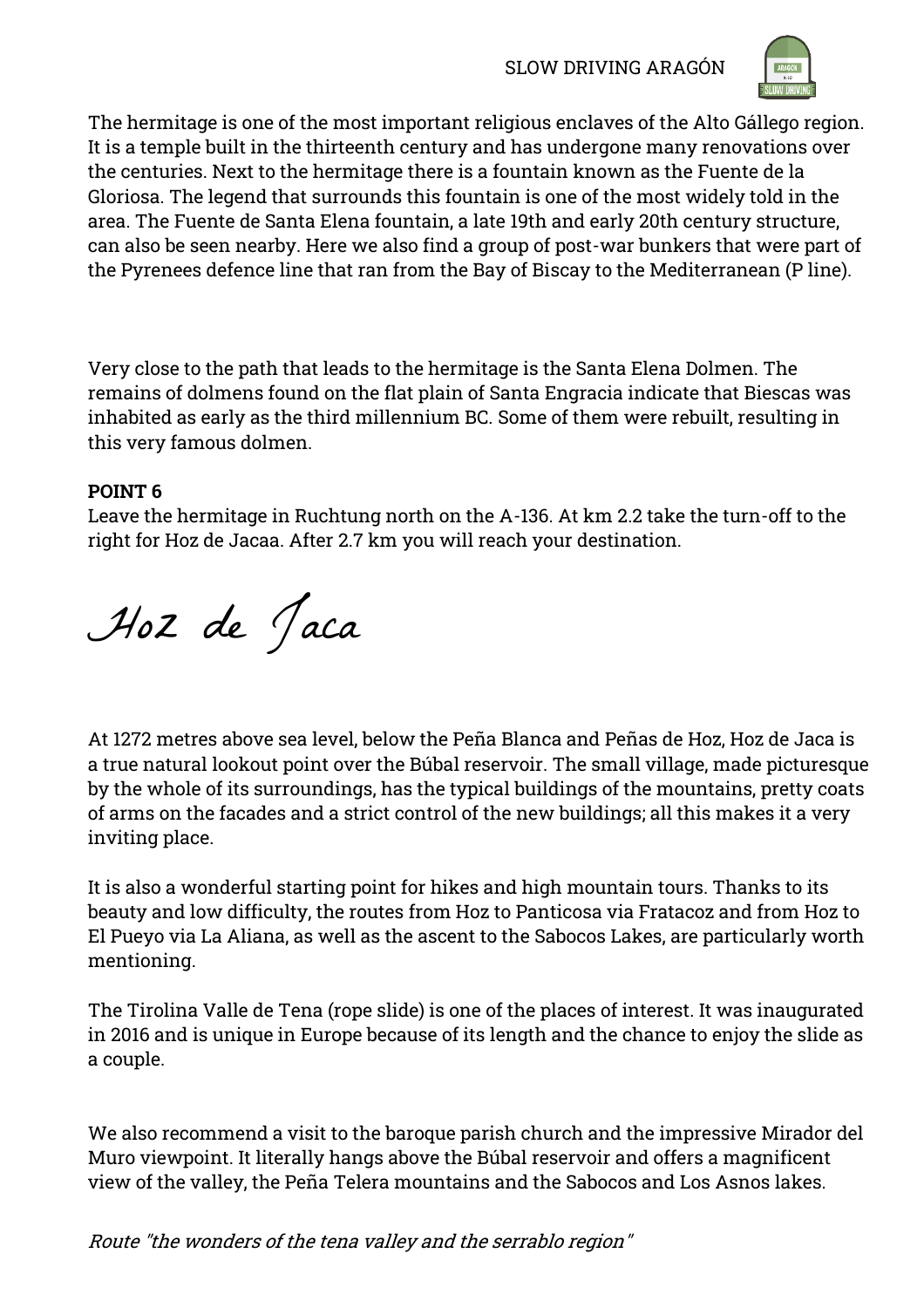

The hermitage is one of the most important religious enclaves of the Alto Gállego region. It is a temple built in the thirteenth century and has undergone many renovations over the centuries. Next to the hermitage there is a fountain known as the Fuente de la Gloriosa. The legend that surrounds this fountain is one of the most widely told in the area. The Fuente de Santa Elena fountain, a late 19th and early 20th century structure, can also be seen nearby. Here we also find a group of post-war bunkers that were part of the Pyrenees defence line that ran from the Bay of Biscay to the Mediterranean (P line).

Very close to the path that leads to the hermitage is the Santa Elena Dolmen. The remains of dolmens found on the flat plain of Santa Engracia indicate that Biescas was inhabited as early as the third millennium BC. Some of them were rebuilt, resulting in this very famous dolmen.

# **POINT 6**

Leave the hermitage in Ruchtung north on the A-136. At km 2.2 take the turn-off to the right for Hoz de Jacaa. After 2.7 km you will reach your destination.

Hoz de Jaca

At 1272 metres above sea level, below the Peña Blanca and Peñas de Hoz, Hoz de Jaca is a true natural lookout point over the Búbal reservoir. The small village, made picturesque by the whole of its surroundings, has the typical buildings of the mountains, pretty coats of arms on the facades and a strict control of the new buildings; all this makes it a very inviting place.

It is also a wonderful starting point for hikes and high mountain tours. Thanks to its beauty and low difficulty, the routes from Hoz to Panticosa via Fratacoz and from Hoz to El Pueyo via La Aliana, as well as the ascent to the Sabocos Lakes, are particularly worth mentioning.

The Tirolina Valle de Tena (rope slide) is one of the places of interest. It was inaugurated in 2016 and is unique in Europe because of its length and the chance to enjoy the slide as a couple.

We also recommend a visit to the baroque parish church and the impressive Mirador del Muro viewpoint. It literally hangs above the Búbal reservoir and offers a magnificent view of the valley, the Peña Telera mountains and the Sabocos and Los Asnos lakes.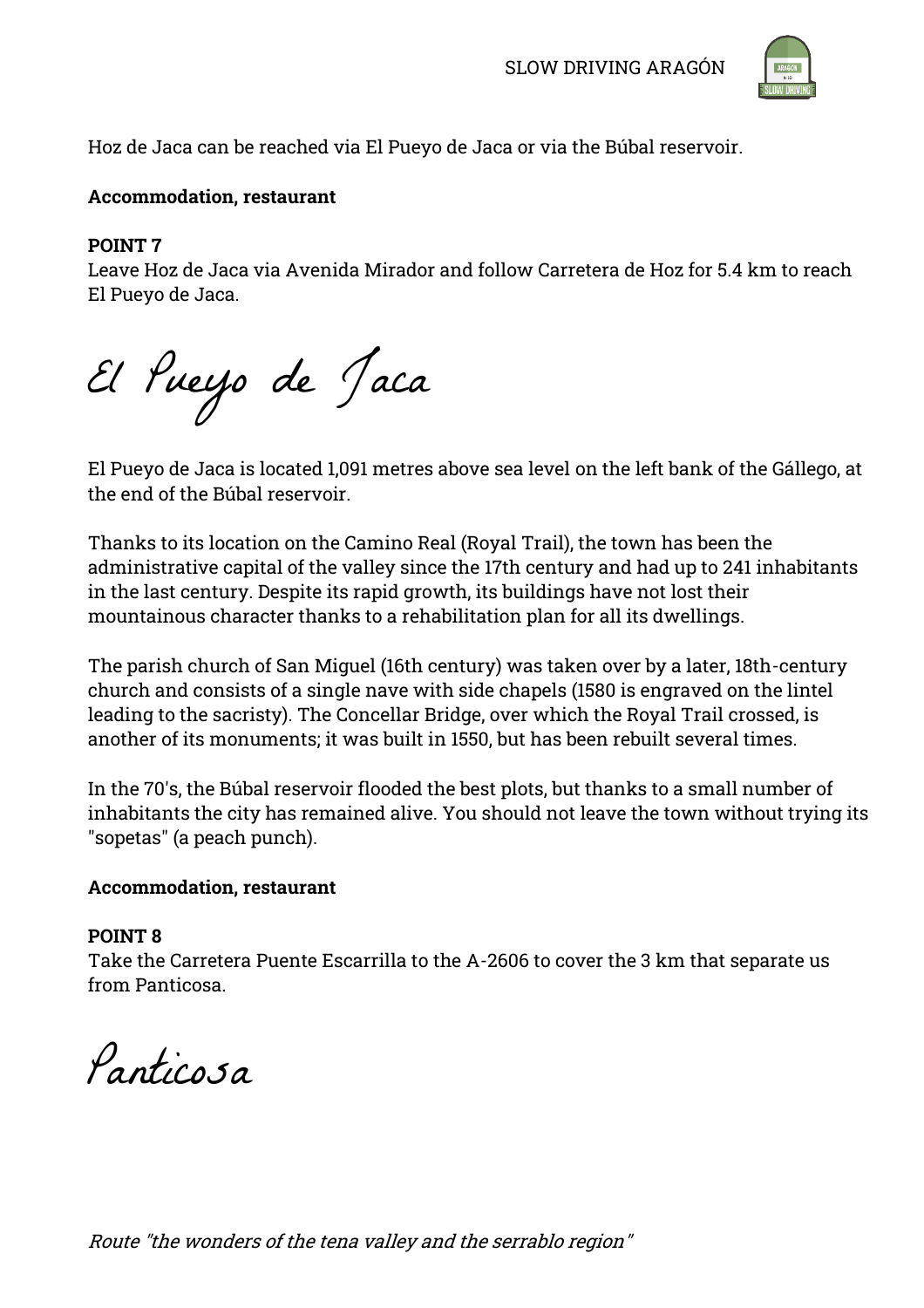

Hoz de Jaca can be reached via El Pueyo de Jaca or via the Búbal reservoir.

#### **Accommodation, restaurant**

#### **POINT 7**

Leave Hoz de Jaca via Avenida Mirador and follow Carretera de Hoz for 5.4 km to reach El Pueyo de Jaca.

El Pueyo de Jaca

El Pueyo de Jaca is located 1,091 metres above sea level on the left bank of the Gállego, at the end of the Búbal reservoir.

Thanks to its location on the Camino Real (Royal Trail), the town has been the administrative capital of the valley since the 17th century and had up to 241 inhabitants in the last century. Despite its rapid growth, its buildings have not lost their mountainous character thanks to a rehabilitation plan for all its dwellings.

The parish church of San Miguel (16th century) was taken over by a later, 18th-century church and consists of a single nave with side chapels (1580 is engraved on the lintel leading to the sacristy). The Concellar Bridge, over which the Royal Trail crossed, is another of its monuments; it was built in 1550, but has been rebuilt several times.

In the 70's, the Búbal reservoir flooded the best plots, but thanks to a small number of inhabitants the city has remained alive. You should not leave the town without trying its "sopetas" (a peach punch).

#### **Accommodation, restaurant**

#### **POINT 8**

Take the Carretera Puente Escarrilla to the A-2606 to cover the 3 km that separate us from Panticosa.

Panticosa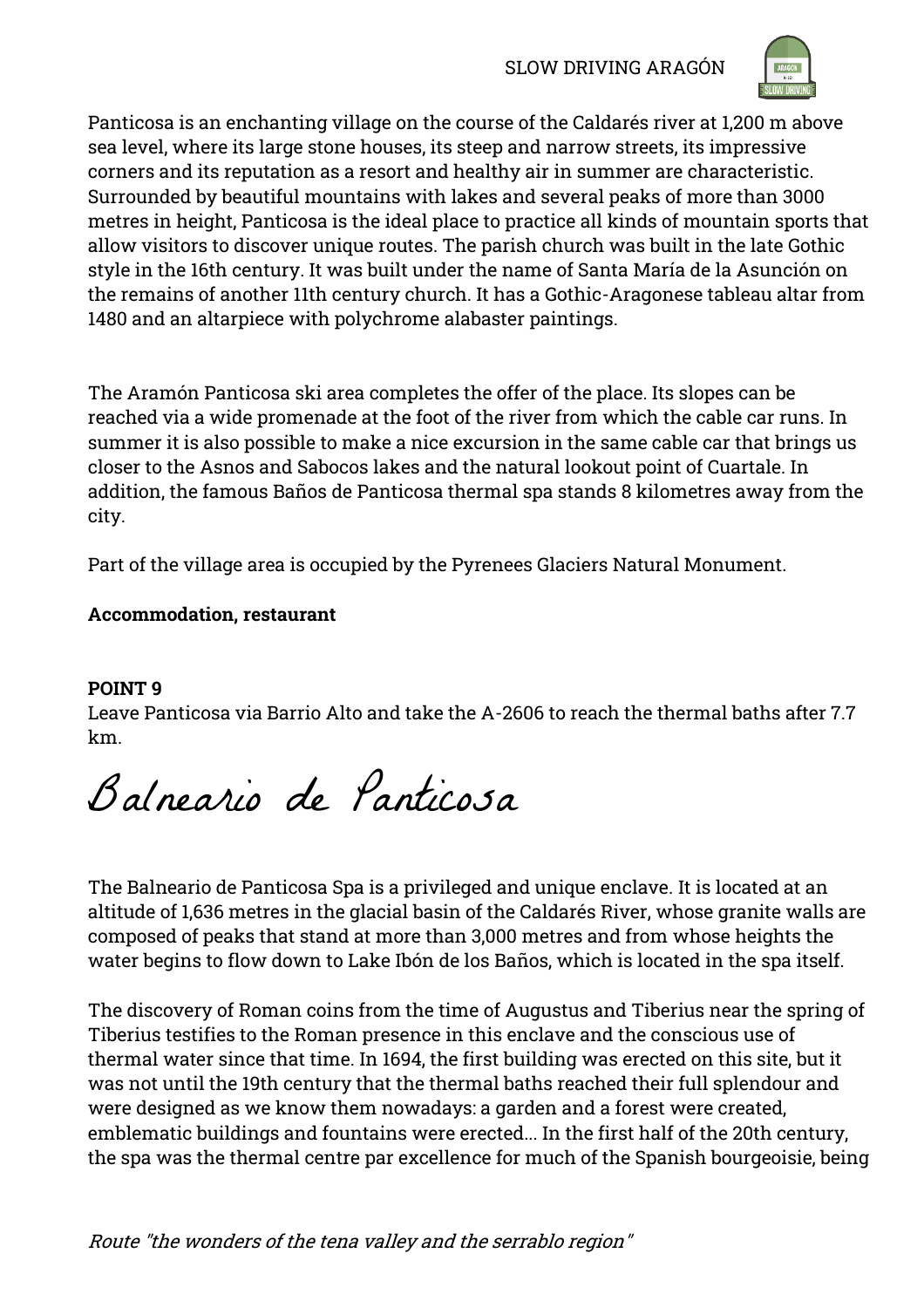

Panticosa is an enchanting village on the course of the Caldarés river at 1,200 m above sea level, where its large stone houses, its steep and narrow streets, its impressive corners and its reputation as a resort and healthy air in summer are characteristic. Surrounded by beautiful mountains with lakes and several peaks of more than 3000 metres in height, Panticosa is the ideal place to practice all kinds of mountain sports that allow visitors to discover unique routes. The parish church was built in the late Gothic style in the 16th century. It was built under the name of Santa María de la Asunción on the remains of another 11th century church. It has a Gothic-Aragonese tableau altar from 1480 and an altarpiece with polychrome alabaster paintings.

The Aramón Panticosa ski area completes the offer of the place. Its slopes can be reached via a wide promenade at the foot of the river from which the cable car runs. In summer it is also possible to make a nice excursion in the same cable car that brings us closer to the Asnos and Sabocos lakes and the natural lookout point of Cuartale. In addition, the famous Baños de Panticosa thermal spa stands 8 kilometres away from the city.

Part of the village area is occupied by the Pyrenees Glaciers Natural Monument.

# **Accommodation, restaurant**

# **POINT 9**

Leave Panticosa via Barrio Alto and take the A-2606 to reach the thermal baths after 7.7 km.

Balneario de Panticosa

The Balneario de Panticosa Spa is a privileged and unique enclave. It is located at an altitude of 1,636 metres in the glacial basin of the Caldarés River, whose granite walls are composed of peaks that stand at more than 3,000 metres and from whose heights the water begins to flow down to Lake Ibón de los Baños, which is located in the spa itself.

The discovery of Roman coins from the time of Augustus and Tiberius near the spring of Tiberius testifies to the Roman presence in this enclave and the conscious use of thermal water since that time. In 1694, the first building was erected on this site, but it was not until the 19th century that the thermal baths reached their full splendour and were designed as we know them nowadays: a garden and a forest were created, emblematic buildings and fountains were erected... In the first half of the 20th century, the spa was the thermal centre par excellence for much of the Spanish bourgeoisie, being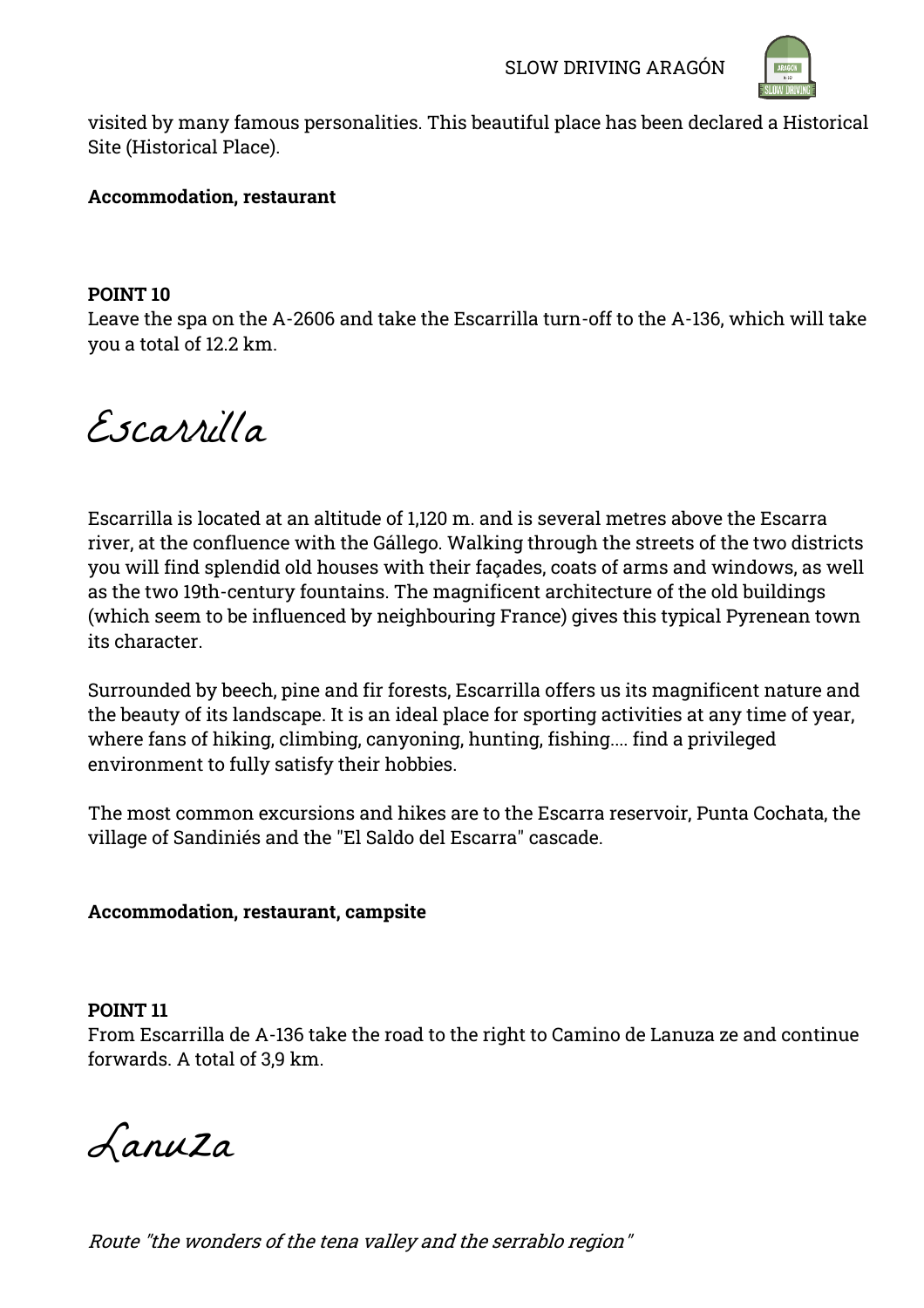

visited by many famous personalities. This beautiful place has been declared a Historical Site (Historical Place).

#### **Accommodation, restaurant**

#### **POINT 10**

Leave the spa on the A-2606 and take the Escarrilla turn-off to the A-136, which will take you a total of 12.2 km.

Escarrilla

Escarrilla is located at an altitude of 1,120 m. and is several metres above the Escarra river, at the confluence with the Gállego. Walking through the streets of the two districts you will find splendid old houses with their façades, coats of arms and windows, as well as the two 19th-century fountains. The magnificent architecture of the old buildings (which seem to be influenced by neighbouring France) gives this typical Pyrenean town its character.

Surrounded by beech, pine and fir forests, Escarrilla offers us its magnificent nature and the beauty of its landscape. It is an ideal place for sporting activities at any time of year, where fans of hiking, climbing, canyoning, hunting, fishing.... find a privileged environment to fully satisfy their hobbies.

The most common excursions and hikes are to the Escarra reservoir, Punta Cochata, the village of Sandiniés and the "El Saldo del Escarra" cascade.

# **Accommodation, restaurant, campsite**

#### **POINT 11**

From Escarrilla de A-136 take the road to the right to Camino de Lanuza ze and continue forwards. A total of 3,9 km.

Lanuza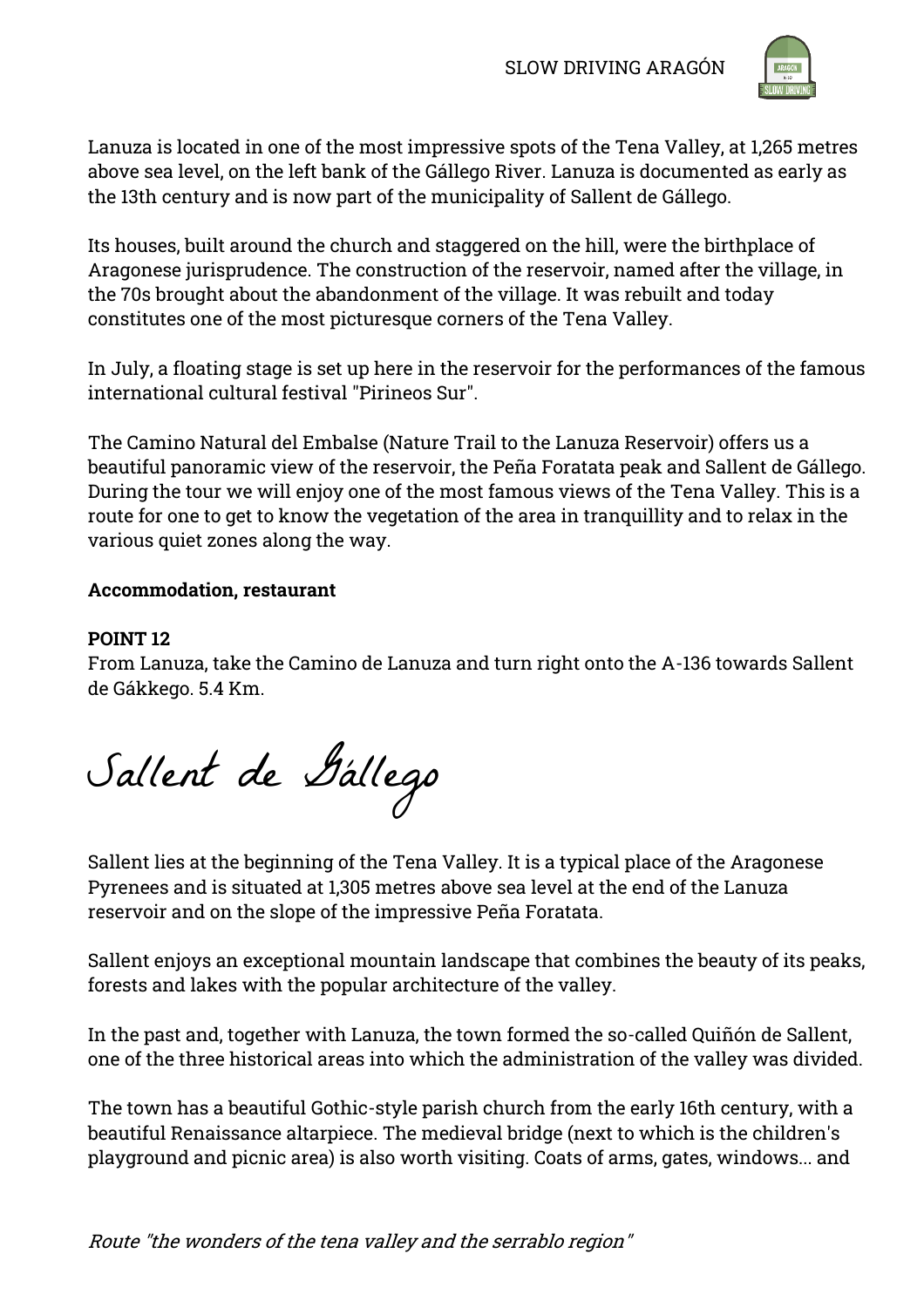

Lanuza is located in one of the most impressive spots of the Tena Valley, at 1,265 metres above sea level, on the left bank of the Gállego River. Lanuza is documented as early as the 13th century and is now part of the municipality of Sallent de Gállego.

Its houses, built around the church and staggered on the hill, were the birthplace of Aragonese jurisprudence. The construction of the reservoir, named after the village, in the 70s brought about the abandonment of the village. It was rebuilt and today constitutes one of the most picturesque corners of the Tena Valley.

In July, a floating stage is set up here in the reservoir for the performances of the famous international cultural festival "Pirineos Sur".

The Camino Natural del Embalse (Nature Trail to the Lanuza Reservoir) offers us a beautiful panoramic view of the reservoir, the Peña Foratata peak and Sallent de Gállego. During the tour we will enjoy one of the most famous views of the Tena Valley. This is a route for one to get to know the vegetation of the area in tranquillity and to relax in the various quiet zones along the way.

# **Accommodation, restaurant**

#### **POINT 12**

From Lanuza, take the Camino de Lanuza and turn right onto the A-136 towards Sallent de Gákkego. 5.4 Km.

Sallent de Gállego

Sallent lies at the beginning of the Tena Valley. It is a typical place of the Aragonese Pyrenees and is situated at 1,305 metres above sea level at the end of the Lanuza reservoir and on the slope of the impressive Peña Foratata.

Sallent enjoys an exceptional mountain landscape that combines the beauty of its peaks, forests and lakes with the popular architecture of the valley.

In the past and, together with Lanuza, the town formed the so-called Quiñón de Sallent, one of the three historical areas into which the administration of the valley was divided.

The town has a beautiful Gothic-style parish church from the early 16th century, with a beautiful Renaissance altarpiece. The medieval bridge (next to which is the children's playground and picnic area) is also worth visiting. Coats of arms, gates, windows... and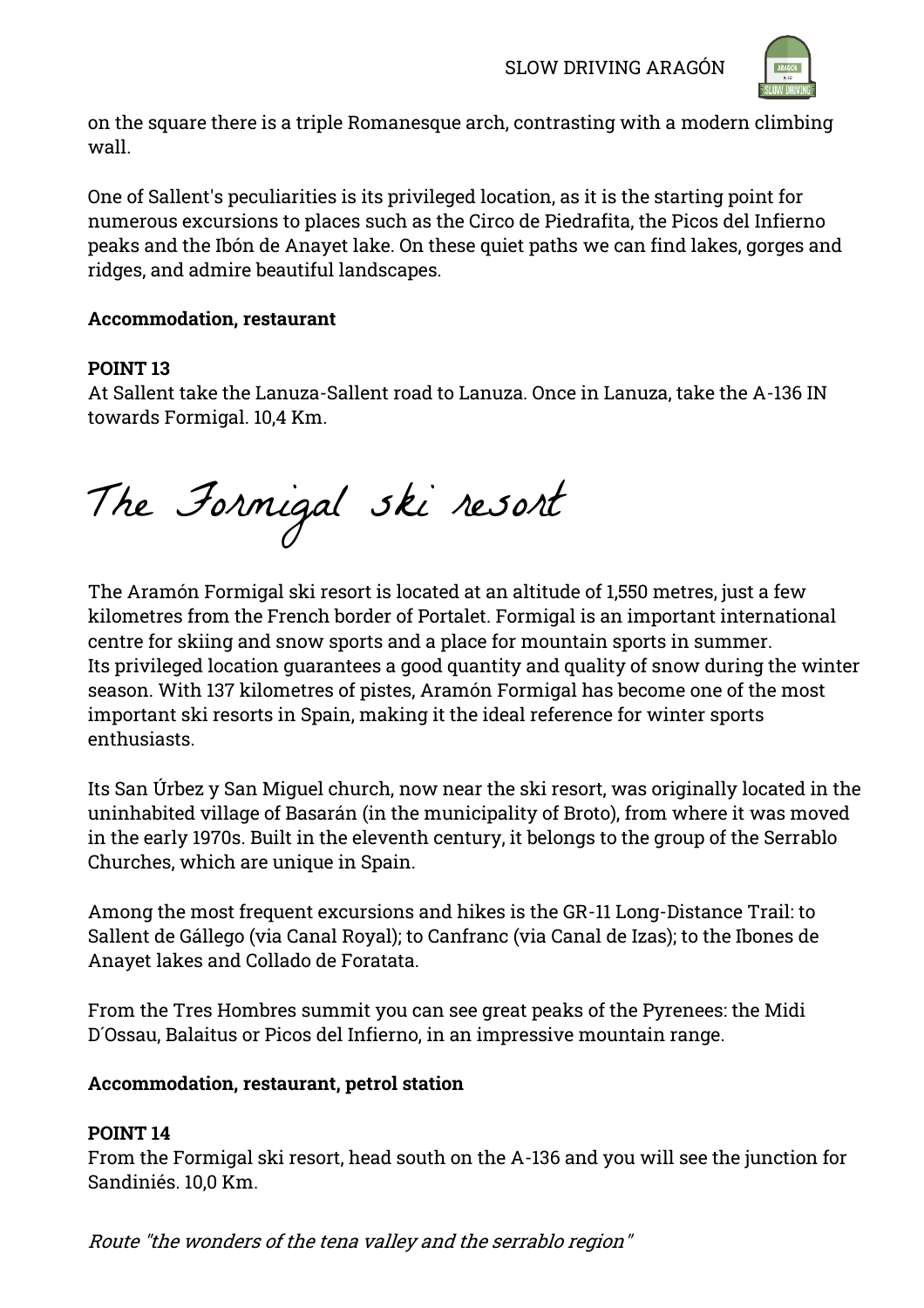

on the square there is a triple Romanesque arch, contrasting with a modern climbing wall.

One of Sallent's peculiarities is its privileged location, as it is the starting point for numerous excursions to places such as the Circo de Piedrafita, the Picos del Infierno peaks and the Ibón de Anayet lake. On these quiet paths we can find lakes, gorges and ridges, and admire beautiful landscapes.

# **Accommodation, restaurant**

# **POINT 13**

At Sallent take the Lanuza-Sallent road to Lanuza. Once in Lanuza, take the A-136 IN towards Formigal. 10,4 Km.

The Formigal ski resort

The Aramón Formigal ski resort is located at an altitude of 1,550 metres, just a few kilometres from the French border of Portalet. Formigal is an important international centre for skiing and snow sports and a place for mountain sports in summer. Its privileged location guarantees a good quantity and quality of snow during the winter season. With 137 kilometres of pistes, Aramón Formigal has become one of the most important ski resorts in Spain, making it the ideal reference for winter sports enthusiasts.

Its San Úrbez y San Miguel church, now near the ski resort, was originally located in the uninhabited village of Basarán (in the municipality of Broto), from where it was moved in the early 1970s. Built in the eleventh century, it belongs to the group of the Serrablo Churches, which are unique in Spain.

Among the most frequent excursions and hikes is the GR-11 Long-Distance Trail: to Sallent de Gállego (via Canal Royal); to Canfranc (via Canal de Izas); to the Ibones de Anayet lakes and Collado de Foratata.

From the Tres Hombres summit you can see great peaks of the Pyrenees: the Midi D´Ossau, Balaitus or Picos del Infierno, in an impressive mountain range.

# **Accommodation, restaurant, petrol station**

# **POINT 14**

From the Formigal ski resort, head south on the A-136 and you will see the junction for Sandiniés. 10,0 Km.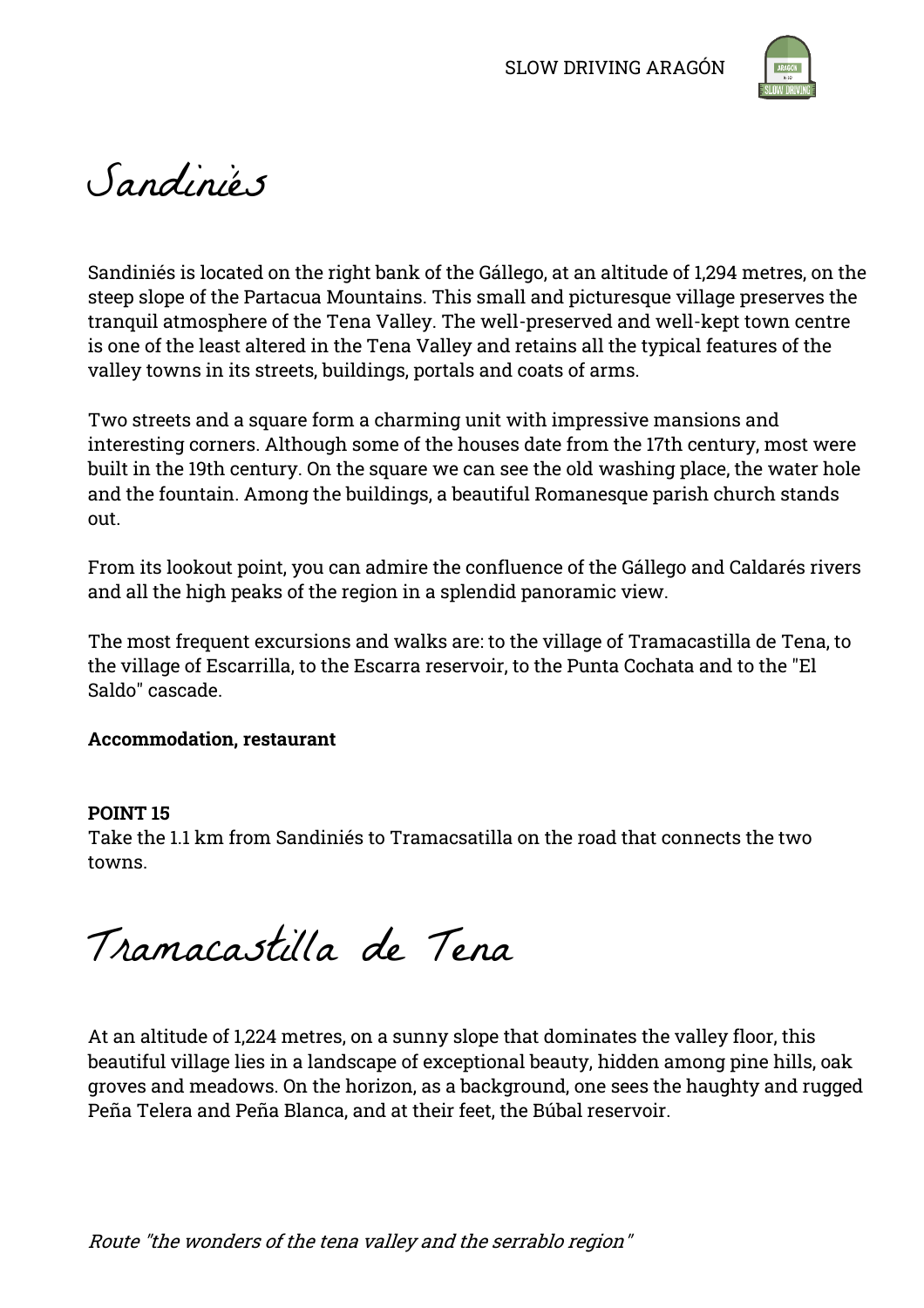

# Sandiniés

Sandiniés is located on the right bank of the Gállego, at an altitude of 1,294 metres, on the steep slope of the Partacua Mountains. This small and picturesque village preserves the tranquil atmosphere of the Tena Valley. The well-preserved and well-kept town centre is one of the least altered in the Tena Valley and retains all the typical features of the valley towns in its streets, buildings, portals and coats of arms.

Two streets and a square form a charming unit with impressive mansions and interesting corners. Although some of the houses date from the 17th century, most were built in the 19th century. On the square we can see the old washing place, the water hole and the fountain. Among the buildings, a beautiful Romanesque parish church stands out.

From its lookout point, you can admire the confluence of the Gállego and Caldarés rivers and all the high peaks of the region in a splendid panoramic view.

The most frequent excursions and walks are: to the village of Tramacastilla de Tena, to the village of Escarrilla, to the Escarra reservoir, to the Punta Cochata and to the "El Saldo" cascade.

# **Accommodation, restaurant**

# **POINT 15**

Take the 1.1 km from Sandiniés to Tramacsatilla on the road that connects the two towns.

Tramacastilla de Tena

At an altitude of 1,224 metres, on a sunny slope that dominates the valley floor, this beautiful village lies in a landscape of exceptional beauty, hidden among pine hills, oak groves and meadows. On the horizon, as a background, one sees the haughty and rugged Peña Telera and Peña Blanca, and at their feet, the Búbal reservoir.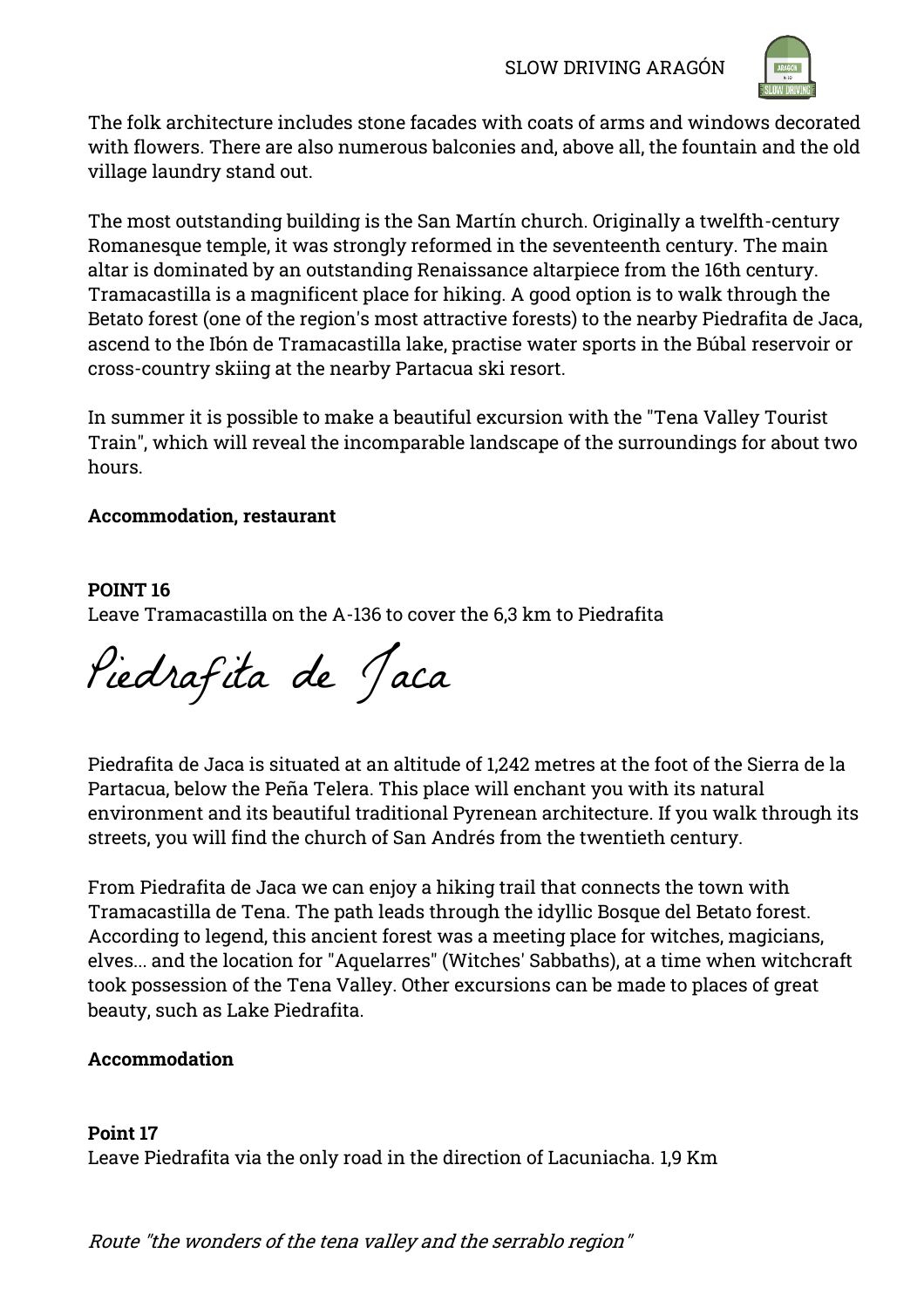

The folk architecture includes stone facades with coats of arms and windows decorated with flowers. There are also numerous balconies and, above all, the fountain and the old village laundry stand out.

The most outstanding building is the San Martín church. Originally a twelfth-century Romanesque temple, it was strongly reformed in the seventeenth century. The main altar is dominated by an outstanding Renaissance altarpiece from the 16th century. Tramacastilla is a magnificent place for hiking. A good option is to walk through the Betato forest (one of the region's most attractive forests) to the nearby Piedrafita de Jaca, ascend to the Ibón de Tramacastilla lake, practise water sports in the Búbal reservoir or cross-country skiing at the nearby Partacua ski resort.

In summer it is possible to make a beautiful excursion with the "Tena Valley Tourist Train", which will reveal the incomparable landscape of the surroundings for about two hours.

# **Accommodation, restaurant**

# **POINT 16**

Leave Tramacastilla on the A-136 to cover the 6,3 km to Piedrafita

Piedrafita de Jaca

Piedrafita de Jaca is situated at an altitude of 1,242 metres at the foot of the Sierra de la Partacua, below the Peña Telera. This place will enchant you with its natural environment and its beautiful traditional Pyrenean architecture. If you walk through its streets, you will find the church of San Andrés from the twentieth century.

From Piedrafita de Jaca we can enjoy a hiking trail that connects the town with Tramacastilla de Tena. The path leads through the idyllic Bosque del Betato forest. According to legend, this ancient forest was a meeting place for witches, magicians, elves... and the location for "Aquelarres" (Witches' Sabbaths), at a time when witchcraft took possession of the Tena Valley. Other excursions can be made to places of great beauty, such as Lake Piedrafita.

# **Accommodation**

# **Point 17**

Leave Piedrafita via the only road in the direction of Lacuniacha. 1,9 Km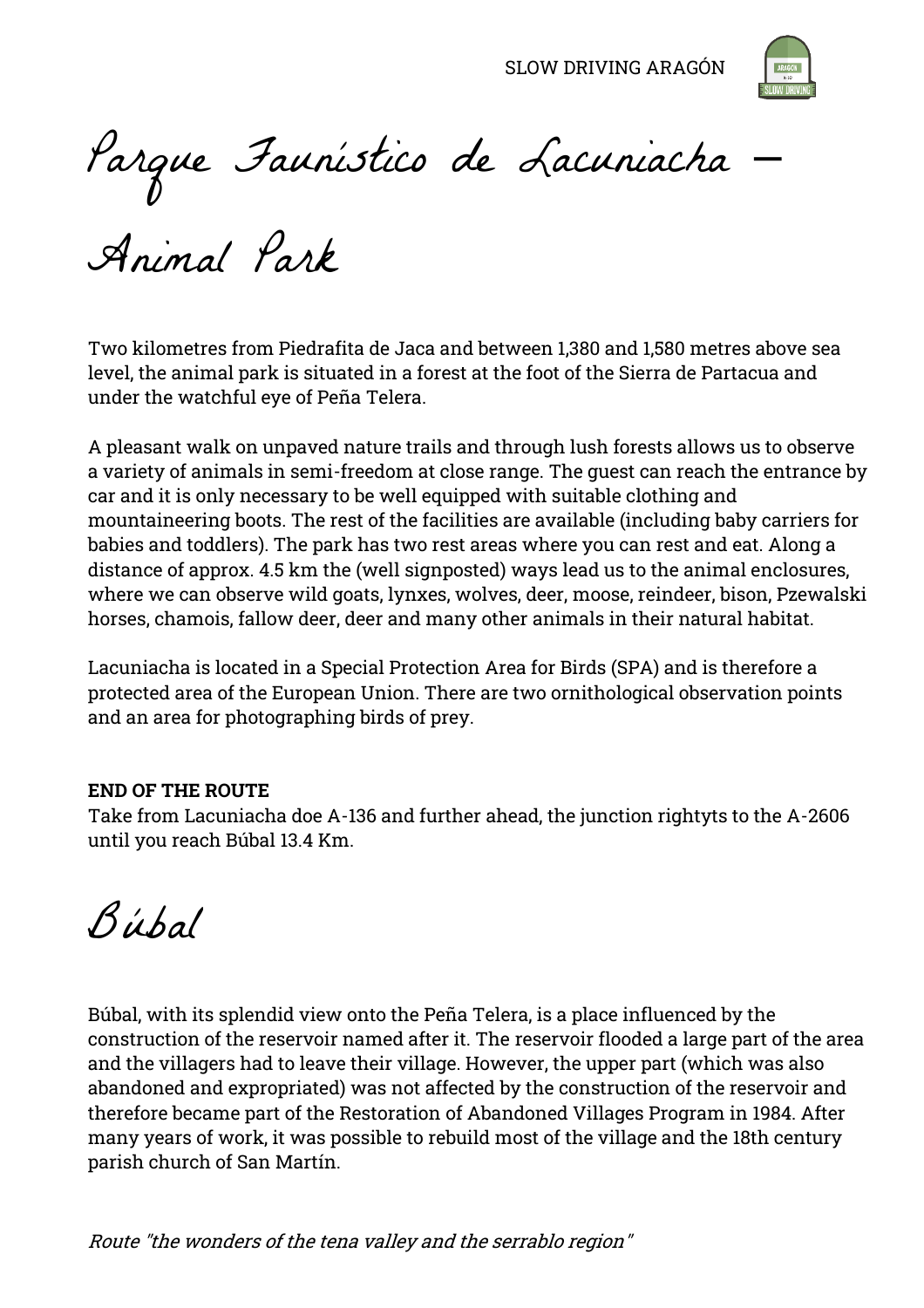SLOW DRIVING ARAGÓN



Parque Faunístico de Lacuniacha –

Animal Park

Two kilometres from Piedrafita de Jaca and between 1,380 and 1,580 metres above sea level, the animal park is situated in a forest at the foot of the Sierra de Partacua and under the watchful eye of Peña Telera.

A pleasant walk on unpaved nature trails and through lush forests allows us to observe a variety of animals in semi-freedom at close range. The guest can reach the entrance by car and it is only necessary to be well equipped with suitable clothing and mountaineering boots. The rest of the facilities are available (including baby carriers for babies and toddlers). The park has two rest areas where you can rest and eat. Along a distance of approx. 4.5 km the (well signposted) ways lead us to the animal enclosures, where we can observe wild goats, lynxes, wolves, deer, moose, reindeer, bison, Pzewalski horses, chamois, fallow deer, deer and many other animals in their natural habitat.

Lacuniacha is located in a Special Protection Area for Birds (SPA) and is therefore a protected area of the European Union. There are two ornithological observation points and an area for photographing birds of prey.

#### **END OF THE ROUTE**

Take from Lacuniacha doe A-136 and further ahead, the junction rightyts to the A-2606 until you reach Búbal 13.4 Km.

Búbal

Búbal, with its splendid view onto the Peña Telera, is a place influenced by the construction of the reservoir named after it. The reservoir flooded a large part of the area and the villagers had to leave their village. However, the upper part (which was also abandoned and expropriated) was not affected by the construction of the reservoir and therefore became part of the Restoration of Abandoned Villages Program in 1984. After many years of work, it was possible to rebuild most of the village and the 18th century parish church of San Martín.